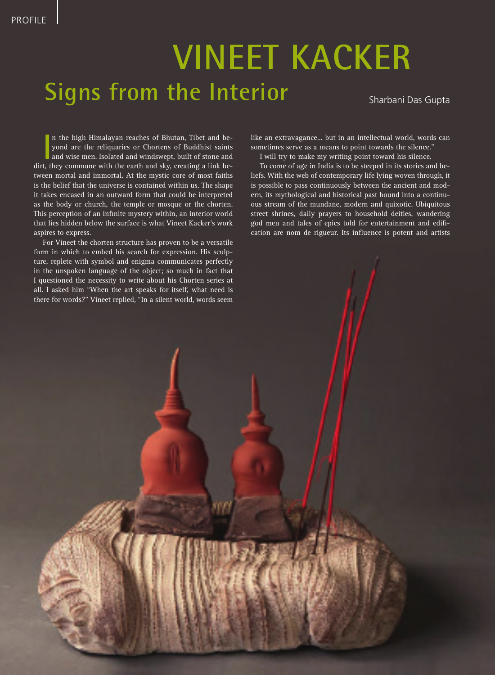## **Signs from the Interior Vineet Kacker**

18 NEW CERAMICS May / june 2014

Sharbani Das Gupta

In the high Himalayan reaches of Bhutan, Tibet and be-<br>
yond are the reliquaries or Chortens of Buddhist saints<br>
and wise men. Isolated and windswept, built of stone and<br>
dirt, they commune with the earth and sky, creating n the high Himalayan reaches of Bhutan, Tibet and beyond are the reliquaries or Chortens of Buddhist saints and wise men. Isolated and windswept, built of stone and tween mortal and immortal. At the mystic core of most faiths is the belief that the universe is contained within us. The shape it takes encased in an outward form that could be interpreted as the body or church, the temple or mosque or the chorten. This perception of an infinite mystery within, an interior world that lies hidden below the surface is what Vineet Kacker's work aspires to express.

For Vineet the chorten structure has proven to be a versatile form in which to embed his search for expression. His sculpture, replete with symbol and enigma communicates perfectly in the unspoken language of the object; so much in fact that I questioned the necessity to write about his Chorten series at all. I asked him "When the art speaks for itself, what need is there for words?" Vineet replied, "In a silent world, words seem

like an extravagance... but in an intellectual world, words can sometimes serve as a means to point towards the silence."

I will try to make my writing point toward his silence.

To come of age in India is to be steeped in its stories and beliefs. With the web of contemporary life lying woven through, it is possible to pass continuously between the ancient and modern, its mythological and historical past bound into a continuous stream of the mundane, modern and quixotic. Ubiquitous street shrines, daily prayers to household deities, wandering god men and tales of epics told for entertainment and edification are nom de rigueur. Its influence is potent and artists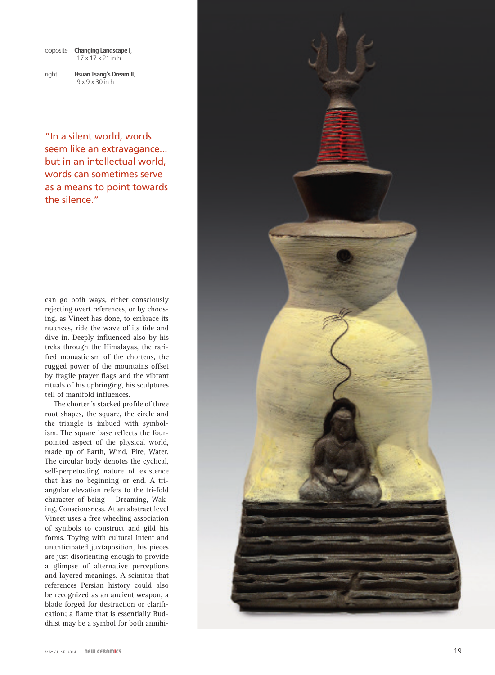| opposite Changing Landscape I, |
|--------------------------------|
| $17 \times 17 \times 21$ in h  |

right **Hsuan Tsang's Dream II**, 9 x 9 x 30 in h

"In a silent world, words seem like an extravagance... but in an intellectual world, words can sometimes serve as a means to point towards the silence."

can go both ways, either consciously rejecting overt references, or by choos ing, as Vineet has done, to embrace its nuances, ride the wave of its tide and dive in. Deeply influenced also by his treks through the Himalayas, the rari fied monasticism of the chortens, the rugged power of the mountains offset by fragile prayer flags and the vibrant rituals of his upbringing, his sculptures tell of manifold influences.

The chorten's stacked profile of three root shapes, the square, the circle and the triangle is imbued with symbol ism. The square base reflects the fourpointed aspect of the physical world, made up of Earth, Wind, Fire, Water. The circular body denotes the cyclical, self-perpetuating nature of existence that has no beginning or end. A tri angular elevation refers to the tri-fold character of being – Dreaming, Wak ing, Consciousness. At an abstract level Vineet uses a free wheeling association of symbols to construct and gild his forms. Toying with cultural intent and unanticipated juxtaposition, his pieces are just disorienting enough to provide a glimpse of alternative perceptions and layered meanings. A scimitar that references Persian history could also be recognized as an ancient weapon, a blade forged for destruction or clarifi cation; a flame that is essentially Bud dhist may be a symbol for both annihi -

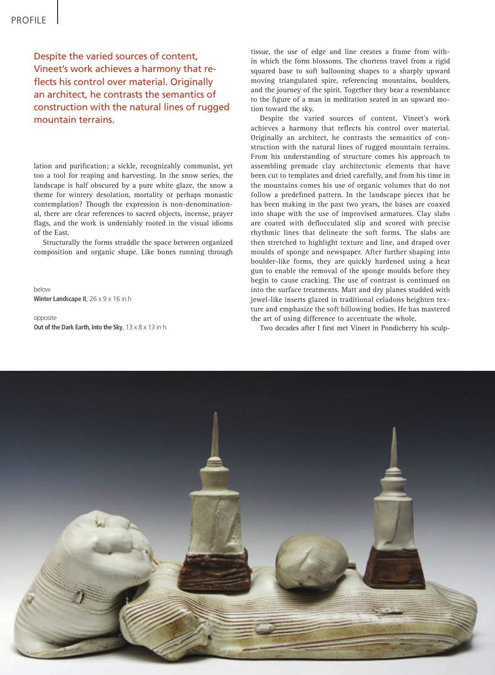Despite the varied sources of content, Vineet's work achieves a harmony that reflects his control over material. Originally an architect, he contrasts the semantics of construction with the natural lines of rugged mountain terrains.

lation and purification; a sickle, recognizably communist, yet too a tool for reaping and harvesting. In the snow series, the landscape is half obscured by a pure white glaze, the snow a theme for wintery desolation, mortality or perhaps monastic contemplation? Though the expression is non-denominational, there are clear references to sacred objects, incense, prayer flags, and the work is undeniably rooted in the visual idioms of the East.

Structurally the forms straddle the space between organized composition and organic shape. Like bones running through

below **Winter Landscape II**, 26 x 9 x 16 in h

opposite **Out of the Dark Earth, Into the Sky**, 13 x 8 x 13 in h tissue, the use of edge and line creates a frame from within which the form blossoms. The chortens travel from a rigid squared base to soft ballooning shapes to a sharply upward moving triangulated spire, referencing mountains, boulders, and the journey of the spirit. Together they bear a resemblance to the figure of a man in meditation seated in an upward motion toward the sky.

Despite the varied sources of content, Vineet's work achieves a harmony that reflects his control over material. Originally an architect, he contrasts the semantics of construction with the natural lines of rugged mountain terrains. From his understanding of structure comes his approach to assembling premade clay architectonic elements that have been cut to templates and dried carefully, and from his time in the mountains comes his use of organic volumes that do not follow a predefined pattern. In the landscape pieces that he has been making in the past two years, the bases are coaxed into shape with the use of improvised armatures. Clay slabs are coated with deflocculated slip and scored with precise rhythmic lines that delineate the soft forms. The slabs are then stretched to highlight texture and line, and draped over moulds of sponge and newspaper. After further shaping into boulder-like forms, they are quickly hardened using a heat gun to enable the removal of the sponge moulds before they begin to cause cracking. The use of contrast is continued on into the surface treatments. Matt and dry planes studded with jewel-like inserts glazed in traditional celadons heighten texture and emphasize the soft billowing bodies. He has mastered the art of using difference to accentuate the whole.

Two decades after I first met Vineet in Pondicherry his sculp-